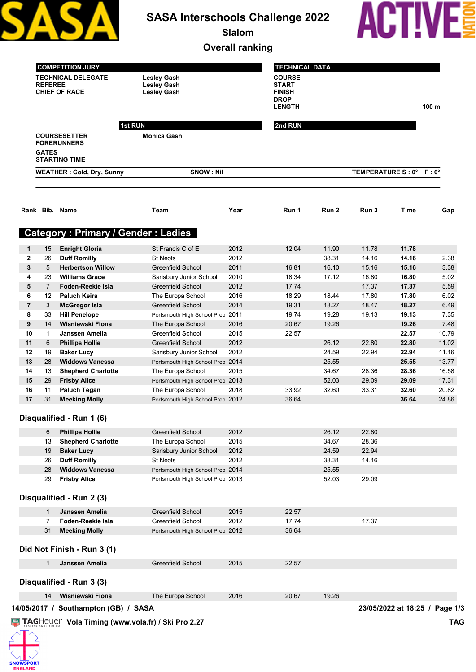|                   |                |                                                                                     |                                                                | <b>Slalom</b><br><b>Overall ranking</b> |                                                                         |       |                         |                |                  |
|-------------------|----------------|-------------------------------------------------------------------------------------|----------------------------------------------------------------|-----------------------------------------|-------------------------------------------------------------------------|-------|-------------------------|----------------|------------------|
|                   | <b>REFEREE</b> | <b>COMPETITION JURY</b><br><b>TECHNICAL DELEGATE</b><br><b>CHIEF OF RACE</b>        | <b>Lesley Gash</b><br><b>Lesley Gash</b><br><b>Lesley Gash</b> |                                         | <b>TECHNICAL DATA</b><br><b>COURSE</b><br><b>START</b><br><b>FINISH</b> |       |                         |                |                  |
|                   |                |                                                                                     |                                                                |                                         | <b>DROP</b><br><b>LENGTH</b>                                            |       |                         |                | 100 <sub>m</sub> |
|                   | <b>GATES</b>   | <b>1st RUN</b><br><b>COURSESETTER</b><br><b>FORERUNNERS</b><br><b>STARTING TIME</b> | <b>Monica Gash</b>                                             |                                         | 2nd RUN                                                                 |       |                         |                |                  |
|                   |                | <b>WEATHER: Cold, Dry, Sunny</b>                                                    | <b>SNOW: Nil</b>                                               |                                         |                                                                         |       | TEMPERATURE S: 0° F: 0° |                |                  |
|                   | Rank Bib. Name |                                                                                     | Team                                                           | Year                                    | Run 1                                                                   | Run 2 | Run 3                   | Time           | Gap              |
|                   |                | <b>Category: Primary / Gender: Ladies</b>                                           |                                                                |                                         |                                                                         |       |                         |                |                  |
|                   |                |                                                                                     |                                                                | 2012                                    | 12.04                                                                   | 11.90 | 11.78                   | 11.78          |                  |
| 1<br>$\mathbf{2}$ | 15<br>26       | <b>Enright Gloria</b><br><b>Duff Romilly</b>                                        | St Francis C of E<br><b>St Neots</b>                           | 2012                                    |                                                                         | 38.31 | 14.16                   | 14.16          | 2.38             |
| 3                 | 5              | <b>Herbertson Willow</b>                                                            | <b>Greenfield School</b>                                       | 2011                                    | 16.81                                                                   | 16.10 | 15.16                   | 15.16          | 3.38             |
| 4                 | 23             | <b>Williams Grace</b>                                                               | Sarisbury Junior School                                        | 2010                                    | 18.34                                                                   | 17.12 | 16.80                   | 16.80          | 5.02             |
| 5                 | $\overline{7}$ | Foden-Reekie Isla                                                                   | <b>Greenfield School</b>                                       | 2012                                    | 17.74                                                                   |       | 17.37                   | 17.37          | 5.59             |
| 6                 | 12             | <b>Paluch Keira</b>                                                                 | The Europa School                                              | 2016                                    | 18.29                                                                   | 18.44 | 17.80                   | 17.80          | 6.02             |
| $\overline{7}$    | 3              | <b>McGregor Isla</b>                                                                | <b>Greenfield School</b>                                       | 2014                                    | 19.31                                                                   | 18.27 | 18.47                   | 18.27          | 6.49             |
| 8                 | 33             | <b>Hill Penelope</b>                                                                | Portsmouth High School Prep 2011                               |                                         | 19.74                                                                   | 19.28 | 19.13                   | 19.13          | 7.35             |
| 9                 | 14             | Wisniewski Fiona                                                                    | The Europa School                                              | 2016                                    | 20.67                                                                   | 19.26 |                         | 19.26          | 7.48             |
| 10                | $\mathbf{1}$   | Janssen Amelia                                                                      | <b>Greenfield School</b>                                       | 2015                                    | 22.57                                                                   |       |                         | 22.57          | 10.79            |
| 11                | 6              | <b>Phillips Hollie</b>                                                              | <b>Greenfield School</b>                                       | 2012                                    |                                                                         | 26.12 | 22.80                   | 22.80          | 11.02            |
| 12                | 19             | <b>Baker Lucy</b>                                                                   | Sarisbury Junior School                                        | 2012                                    |                                                                         | 24.59 | 22.94                   | 22.94          | 11.16            |
| 13                | 28             | <b>Widdows Vanessa</b>                                                              | Portsmouth High School Prep 2014                               |                                         |                                                                         | 25.55 |                         | 25.55          | 13.77            |
| 14                | 13             | <b>Shepherd Charlotte</b>                                                           | The Europa School                                              | 2015                                    |                                                                         | 34.67 | 28.36                   | 28.36          | 16.58            |
| 15                | 29             | <b>Frisby Alice</b>                                                                 | Portsmouth High School Prep 2013                               |                                         |                                                                         | 52.03 | 29.09                   | 29.09          | 17.31            |
| 16<br>17          | 11<br>31       | <b>Paluch Tegan</b><br><b>Meeking Molly</b>                                         | The Europa School<br>Portsmouth High School Prep 2012          | 2018                                    | 33.92<br>36.64                                                          | 32.60 | 33.31                   | 32.60<br>36.64 | 20.82<br>24.86   |
|                   |                | Disqualified - Run 1 (6)                                                            |                                                                |                                         |                                                                         |       |                         |                |                  |
|                   | 6              | <b>Phillips Hollie</b>                                                              | <b>Greenfield School</b>                                       | 2012                                    |                                                                         | 26.12 | 22.80                   |                |                  |
|                   | 13             | <b>Shepherd Charlotte</b>                                                           | The Europa School                                              | 2015                                    |                                                                         | 34.67 | 28.36                   |                |                  |
|                   | 19             | <b>Baker Lucy</b>                                                                   | Sarisbury Junior School                                        | 2012                                    |                                                                         | 24.59 | 22.94                   |                |                  |
|                   | 26             | <b>Duff Romilly</b>                                                                 | St Neots                                                       | 2012                                    |                                                                         | 38.31 | 14.16                   |                |                  |
|                   | 28             | <b>Widdows Vanessa</b>                                                              | Portsmouth High School Prep 2014                               |                                         |                                                                         | 25.55 |                         |                |                  |
|                   | 29             | <b>Frisby Alice</b>                                                                 | Portsmouth High School Prep 2013                               |                                         |                                                                         | 52.03 | 29.09                   |                |                  |
|                   |                | Disqualified - Run 2 (3)                                                            |                                                                |                                         |                                                                         |       |                         |                |                  |
|                   | $\mathbf{1}$   | Janssen Amelia                                                                      | <b>Greenfield School</b>                                       | 2015                                    | 22.57                                                                   |       |                         |                |                  |
|                   | $\overline{7}$ | Foden-Reekie Isla                                                                   | <b>Greenfield School</b>                                       | 2012                                    | 17.74                                                                   |       | 17.37                   |                |                  |
|                   | 31             | <b>Meeking Molly</b>                                                                | Portsmouth High School Prep 2012                               |                                         | 36.64                                                                   |       |                         |                |                  |
|                   |                | Did Not Finish - Run 3 (1)                                                          |                                                                |                                         |                                                                         |       |                         |                |                  |
|                   | $\mathbf{1}$   | Janssen Amelia                                                                      | <b>Greenfield School</b>                                       | 2015                                    | 22.57                                                                   |       |                         |                |                  |
|                   |                | Disqualified - Run 3 (3)                                                            |                                                                |                                         |                                                                         |       |                         |                |                  |
|                   | 14             | Wisniewski Fiona                                                                    | The Europa School                                              | 2016                                    | 20.67                                                                   | 19.26 |                         |                |                  |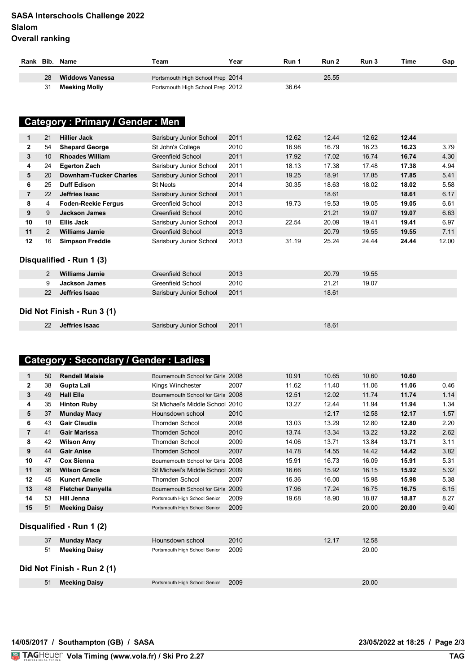#### **SASA Interschools Challenge 2022 Slalom Overall ranking**

| Rank Bib. |    | Name                   | Team                             | Year | Run 1 | Run 2 | Run 3 | Time | Gap |
|-----------|----|------------------------|----------------------------------|------|-------|-------|-------|------|-----|
|           | 28 | <b>Widdows Vanessa</b> | Portsmouth High School Prep 2014 |      |       | 25.55 |       |      |     |
|           | 31 | Meeking Molly          | Portsmouth High School Prep 2012 |      | 36.64 |       |       |      |     |

# **15 Category : Primary / Gender : Men**

| 1                          | 21 | <b>Hillier Jack</b>           | Sarisbury Junior School  | 2011 | 12.62 | 12.44 | 12.62 | 12.44 |       |
|----------------------------|----|-------------------------------|--------------------------|------|-------|-------|-------|-------|-------|
| $\mathbf{2}$               | 54 | <b>Shepard George</b>         | St John's College        | 2010 | 16.98 | 16.79 | 16.23 | 16.23 | 3.79  |
| 3                          | 10 | <b>Rhoades William</b>        | Greenfield School        | 2011 | 17.92 | 17.02 | 16.74 | 16.74 | 4.30  |
| 4                          | 24 | <b>Egerton Zach</b>           | Sarisbury Junior School  | 2011 | 18.13 | 17.38 | 17.48 | 17.38 | 4.94  |
| 5                          | 20 | <b>Downham-Tucker Charles</b> | Sarisbury Junior School  | 2011 | 19.25 | 18.91 | 17.85 | 17.85 | 5.41  |
| 6                          | 25 | <b>Duff Edison</b>            | <b>St Neots</b>          | 2014 | 30.35 | 18.63 | 18.02 | 18.02 | 5.58  |
| 7                          | 22 | Jeffries Isaac                | Sarisbury Junior School  | 2011 |       | 18.61 |       | 18.61 | 6.17  |
| 8                          | 4  | <b>Foden-Reekie Fergus</b>    | Greenfield School        | 2013 | 19.73 | 19.53 | 19.05 | 19.05 | 6.61  |
| 9                          | 9  | <b>Jackson James</b>          | <b>Greenfield School</b> | 2010 |       | 21.21 | 19.07 | 19.07 | 6.63  |
| 10                         | 18 | <b>Ellis Jack</b>             | Sarisbury Junior School  | 2013 | 22.54 | 20.09 | 19.41 | 19.41 | 6.97  |
| 11                         | 2  | <b>Williams Jamie</b>         | Greenfield School        | 2013 |       | 20.79 | 19.55 | 19.55 | 7.11  |
| 12                         | 16 | <b>Simpson Freddie</b>        | Sarisbury Junior School  | 2013 | 31.19 | 25.24 | 24.44 | 24.44 | 12.00 |
| Disqualified - Run 1 (3)   |    |                               |                          |      |       |       |       |       |       |
|                            | 2  | <b>Williams Jamie</b>         | <b>Greenfield School</b> | 2013 |       | 20.79 | 19.55 |       |       |
|                            | 9  | <b>Jackson James</b>          | Greenfield School        | 2010 |       | 21.21 | 19.07 |       |       |
|                            | 22 | Jeffries Isaac                | Sarisbury Junior School  | 2011 |       | 18.61 |       |       |       |
| Did Not Finish - Run 3 (1) |    |                               |                          |      |       |       |       |       |       |
|                            | 22 | Jeffries Isaac                | Sarisbury Junior School  | 2011 |       | 18.61 |       |       |       |
|                            |    |                               |                          |      |       |       |       |       |       |

## **Category : Secondary / Gender : Ladies**

| 1              | 50 | <b>Rendell Maisie</b>    | Bournemouth School for Girls 2008 |      | 10.91 | 10.65 | 10.60 | 10.60 |      |
|----------------|----|--------------------------|-----------------------------------|------|-------|-------|-------|-------|------|
| $\mathbf{2}$   | 38 | Gupta Lali               | Kings Winchester                  | 2007 | 11.62 | 11.40 | 11.06 | 11.06 | 0.46 |
| 3              | 49 | <b>Hall Ella</b>         | Bournemouth School for Girls 2008 |      | 12.51 | 12.02 | 11.74 | 11.74 | 1.14 |
| 4              | 35 | <b>Hinton Ruby</b>       | St Michael's Middle School        | 2010 | 13.27 | 12.44 | 11.94 | 11.94 | 1.34 |
| 5              | 37 | <b>Munday Macy</b>       | Hounsdown school                  | 2010 |       | 12.17 | 12.58 | 12.17 | 1.57 |
| 6              | 43 | Gair Claudia             | Thornden School                   | 2008 | 13.03 | 13.29 | 12.80 | 12.80 | 2.20 |
| $\overline{7}$ | 41 | <b>Gair Marissa</b>      | <b>Thornden School</b>            | 2010 | 13.74 | 13.34 | 13.22 | 13.22 | 2.62 |
| 8              | 42 | <b>Wilson Amy</b>        | Thornden School                   | 2009 | 14.06 | 13.71 | 13.84 | 13.71 | 3.11 |
| 9              | 44 | <b>Gair Anise</b>        | <b>Thornden School</b>            | 2007 | 14.78 | 14.55 | 14.42 | 14.42 | 3.82 |
| 10             | 47 | <b>Cox Sienna</b>        | Bournemouth School for Girls 2008 |      | 15.91 | 16.73 | 16.09 | 15.91 | 5.31 |
| 11             | 36 | <b>Wilson Grace</b>      | St Michael's Middle School 2009   |      | 16.66 | 15.92 | 16.15 | 15.92 | 5.32 |
| $12 \,$        | 45 | <b>Kunert Amelie</b>     | Thornden School                   | 2007 | 16.36 | 16.00 | 15.98 | 15.98 | 5.38 |
| 13             | 48 | <b>Fletcher Danyella</b> | Bournemouth School for Girls 2009 |      | 17.96 | 17.24 | 16.75 | 16.75 | 6.15 |
| 14             | 53 | Hill Jenna               | Portsmouth High School Senior     | 2009 | 19.68 | 18.90 | 18.87 | 18.87 | 8.27 |
| 15             | 51 | <b>Meeking Daisy</b>     | Portsmouth High School Senior     | 2009 |       |       | 20.00 | 20.00 | 9.40 |
|                |    |                          |                                   |      |       |       |       |       |      |
|                |    |                          |                                   |      |       |       |       |       |      |

#### **Disqualified - Run 1 (2)**

| 37 | Munday Macy                | Hounsdown school              | 2010 | 12.17 | 12.58 |
|----|----------------------------|-------------------------------|------|-------|-------|
| 51 | <b>Meeking Daisy</b>       | Portsmouth High School Senior | 2009 |       | 20.00 |
|    | Did Not Finish - Run 2 (1) |                               |      |       |       |
| 51 | <b>Meeking Daisy</b>       | Portsmouth High School Senior | 2009 |       | 20.00 |